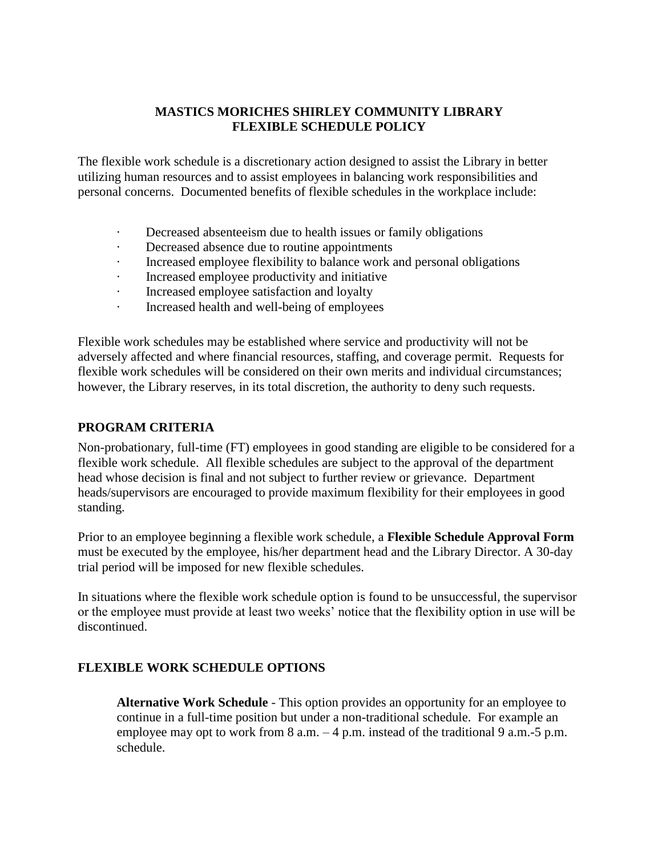## **MASTICS MORICHES SHIRLEY COMMUNITY LIBRARY FLEXIBLE SCHEDULE POLICY**

The flexible work schedule is a discretionary action designed to assist the Library in better utilizing human resources and to assist employees in balancing work responsibilities and personal concerns. Documented benefits of flexible schedules in the workplace include:

- · Decreased absenteeism due to health issues or family obligations
- · Decreased absence due to routine appointments
- Increased employee flexibility to balance work and personal obligations
- Increased employee productivity and initiative
- · Increased employee satisfaction and loyalty
- · Increased health and well-being of employees

Flexible work schedules may be established where service and productivity will not be adversely affected and where financial resources, staffing, and coverage permit. Requests for flexible work schedules will be considered on their own merits and individual circumstances; however, the Library reserves, in its total discretion, the authority to deny such requests.

### **PROGRAM CRITERIA**

Non-probationary, full-time (FT) employees in good standing are eligible to be considered for a flexible work schedule. All flexible schedules are subject to the approval of the department head whose decision is final and not subject to further review or grievance. Department heads/supervisors are encouraged to provide maximum flexibility for their employees in good standing.

Prior to an employee beginning a flexible work schedule, a **Flexible Schedule Approval Form** must be executed by the employee, his/her department head and the Library Director. A 30-day trial period will be imposed for new flexible schedules.

In situations where the flexible work schedule option is found to be unsuccessful, the supervisor or the employee must provide at least two weeks' notice that the flexibility option in use will be discontinued.

### **FLEXIBLE WORK SCHEDULE OPTIONS**

**Alternative Work Schedule** - This option provides an opportunity for an employee to continue in a full-time position but under a non-traditional schedule. For example an employee may opt to work from  $8$  a.m.  $-4$  p.m. instead of the traditional  $9$  a.m.  $-5$  p.m. schedule.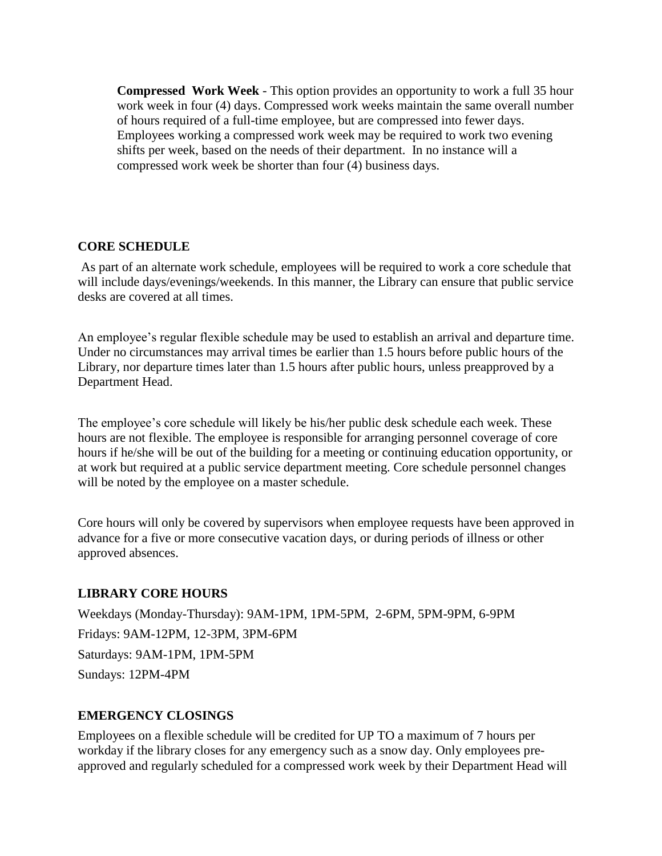**Compressed Work Week** - This option provides an opportunity to work a full 35 hour work week in four (4) days. Compressed work weeks maintain the same overall number of hours required of a full-time employee, but are compressed into fewer days. Employees working a compressed work week may be required to work two evening shifts per week, based on the needs of their department. In no instance will a compressed work week be shorter than four (4) business days.

#### **CORE SCHEDULE**

As part of an alternate work schedule, employees will be required to work a core schedule that will include days/evenings/weekends. In this manner, the Library can ensure that public service desks are covered at all times.

An employee's regular flexible schedule may be used to establish an arrival and departure time. Under no circumstances may arrival times be earlier than 1.5 hours before public hours of the Library, nor departure times later than 1.5 hours after public hours, unless preapproved by a Department Head.

The employee's core schedule will likely be his/her public desk schedule each week. These hours are not flexible. The employee is responsible for arranging personnel coverage of core hours if he/she will be out of the building for a meeting or continuing education opportunity, or at work but required at a public service department meeting. Core schedule personnel changes will be noted by the employee on a master schedule.

Core hours will only be covered by supervisors when employee requests have been approved in advance for a five or more consecutive vacation days, or during periods of illness or other approved absences.

### **LIBRARY CORE HOURS**

Weekdays (Monday-Thursday): 9AM-1PM, 1PM-5PM, 2-6PM, 5PM-9PM, 6-9PM Fridays: 9AM-12PM, 12-3PM, 3PM-6PM Saturdays: 9AM-1PM, 1PM-5PM Sundays: 12PM-4PM

#### **EMERGENCY CLOSINGS**

Employees on a flexible schedule will be credited for UP TO a maximum of 7 hours per workday if the library closes for any emergency such as a snow day. Only employees preapproved and regularly scheduled for a compressed work week by their Department Head will